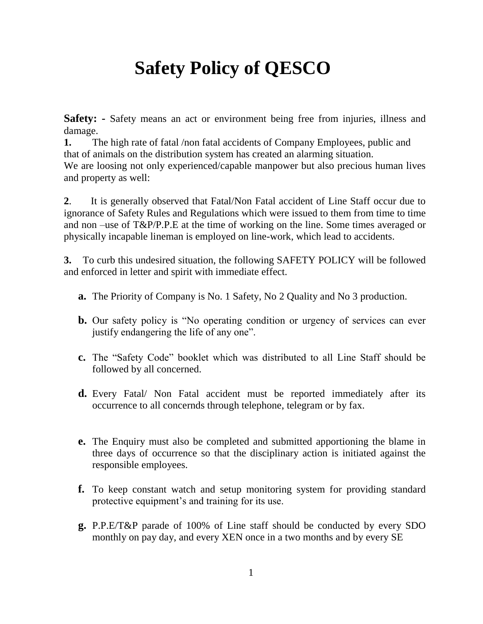## **Safety Policy of QESCO**

**Safety:** - Safety means an act or environment being free from injuries, illness and damage.

**1.** The high rate of fatal /non fatal accidents of Company Employees, public and that of animals on the distribution system has created an alarming situation. We are loosing not only experienced/capable manpower but also precious human lives and property as well:

**2**. It is generally observed that Fatal/Non Fatal accident of Line Staff occur due to ignorance of Safety Rules and Regulations which were issued to them from time to time and non –use of T&P/P.P.E at the time of working on the line. Some times averaged or physically incapable lineman is employed on line-work, which lead to accidents.

**3.** To curb this undesired situation, the following SAFETY POLICY will be followed and enforced in letter and spirit with immediate effect.

- **a.** The Priority of Company is No. 1 Safety, No 2 Quality and No 3 production.
- **b.** Our safety policy is "No operating condition or urgency of services can ever justify endangering the life of any one".
- **c.** The "Safety Code" booklet which was distributed to all Line Staff should be followed by all concerned.
- **d.** Every Fatal/ Non Fatal accident must be reported immediately after its occurrence to all concernds through telephone, telegram or by fax.
- **e.** The Enquiry must also be completed and submitted apportioning the blame in three days of occurrence so that the disciplinary action is initiated against the responsible employees.
- **f.** To keep constant watch and setup monitoring system for providing standard protective equipment's and training for its use.
- **g.** P.P.E/T&P parade of 100% of Line staff should be conducted by every SDO monthly on pay day, and every XEN once in a two months and by every SE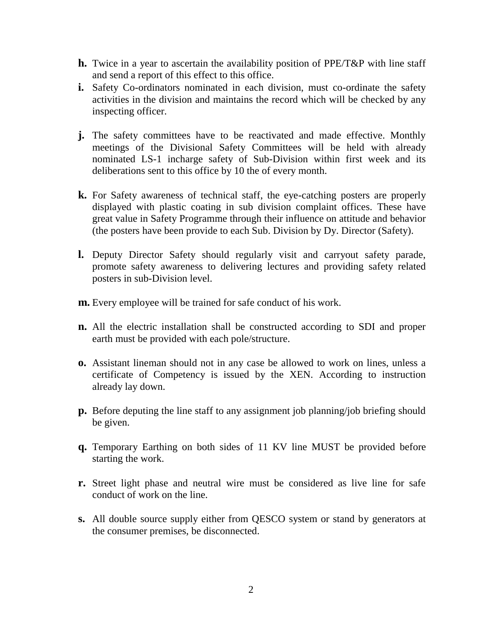- **h.** Twice in a year to ascertain the availability position of PPE/T&P with line staff and send a report of this effect to this office.
- **i.** Safety Co-ordinators nominated in each division, must co-ordinate the safety activities in the division and maintains the record which will be checked by any inspecting officer.
- **j.** The safety committees have to be reactivated and made effective. Monthly meetings of the Divisional Safety Committees will be held with already nominated LS-1 incharge safety of Sub-Division within first week and its deliberations sent to this office by 10 the of every month.
- **k.** For Safety awareness of technical staff, the eye-catching posters are properly displayed with plastic coating in sub division complaint offices. These have great value in Safety Programme through their influence on attitude and behavior (the posters have been provide to each Sub. Division by Dy. Director (Safety).
- **l.** Deputy Director Safety should regularly visit and carryout safety parade, promote safety awareness to delivering lectures and providing safety related posters in sub-Division level.
- **m.** Every employee will be trained for safe conduct of his work.
- **n.** All the electric installation shall be constructed according to SDI and proper earth must be provided with each pole/structure.
- **o.** Assistant lineman should not in any case be allowed to work on lines, unless a certificate of Competency is issued by the XEN. According to instruction already lay down.
- **p.** Before deputing the line staff to any assignment job planning/job briefing should be given.
- **q.** Temporary Earthing on both sides of 11 KV line MUST be provided before starting the work.
- **r.** Street light phase and neutral wire must be considered as live line for safe conduct of work on the line.
- **s.** All double source supply either from QESCO system or stand by generators at the consumer premises, be disconnected.